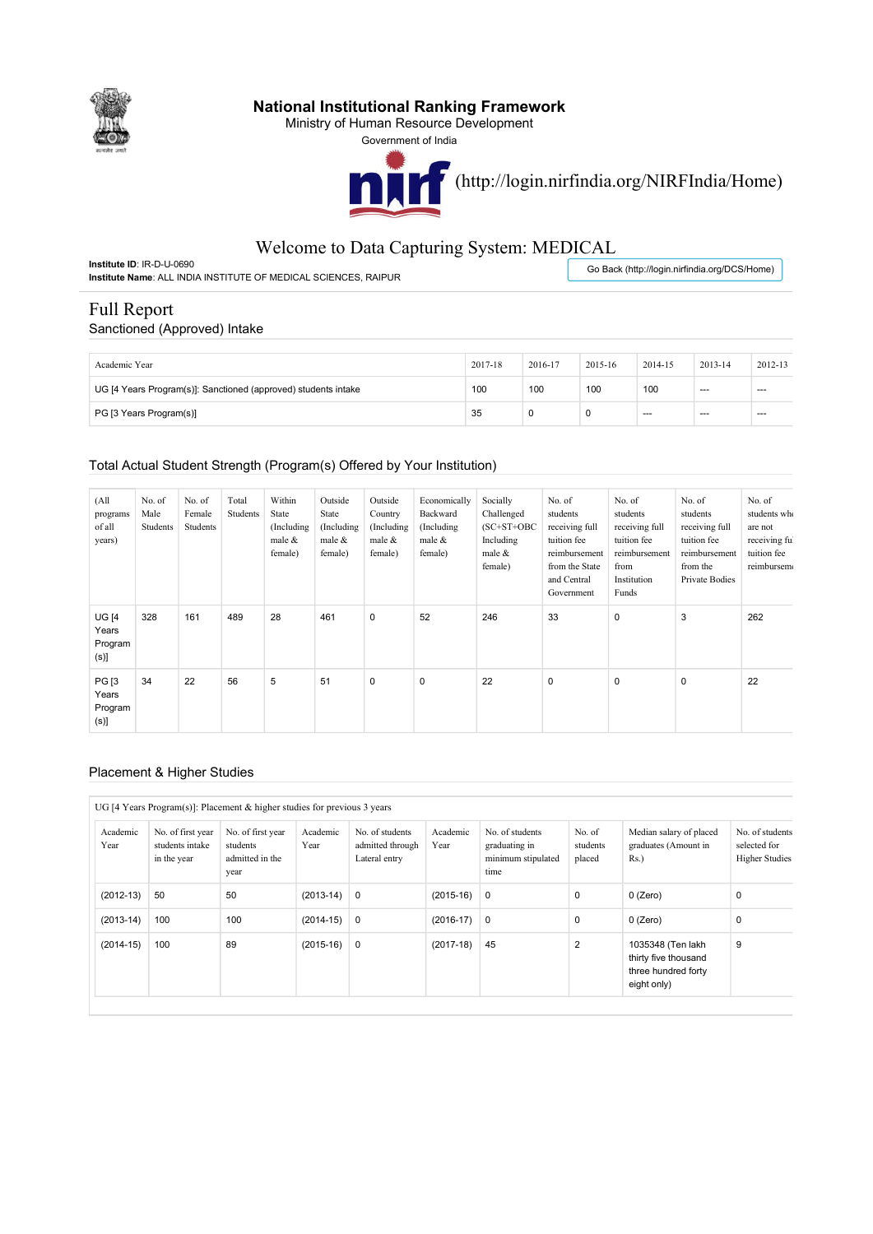

## **National Institutional Ranking Framework**

Ministry of Human Resource Development

Government of India



## Welcome to Data Capturing System: MEDICAL

**Institute ID**: IR-D-U-0690 **Institute Name**: ALL INDIA INSTITUTE OF MEDICAL SCIENCES, RAIPUR

Go Back (http://login.nirfindia.org/DCS/Home)

# Full Report

#### Sanctioned (Approved) Intake

| Academic Year                                                  | 2017-18 | 2016-17 | 2015-16 | 2014-15 | 2013-14 | 2012-13 |
|----------------------------------------------------------------|---------|---------|---------|---------|---------|---------|
| UG [4 Years Program(s)]: Sanctioned (approved) students intake | 100     | 100     | 100     | 100     | $- - -$ | $-$     |
| PG [3 Years Program(s)]                                        | 35      |         |         | $- - -$ | $- - -$ | $-$     |

#### Total Actual Student Strength (Program(s) Offered by Your Institution)

| (A <sup>11</sup> )<br>programs<br>of all<br>years) | No. of<br>Male<br>Students | No. of<br>Female<br>Students | Total<br>Students | Within<br>State<br>(Including)<br>male &<br>female) | Outside<br>State<br>(Including)<br>male &<br>female) | Outside<br>Country<br>(Including<br>male &<br>female) | Economically<br>Backward<br>(Including)<br>male &<br>female) | Socially<br>Challenged<br>$(SC+ST+OBC$<br>Including<br>male &<br>female) | No. of<br>students<br>receiving full<br>tuition fee<br>reimbursement<br>from the State<br>and Central<br>Government | No. of<br>students<br>receiving full<br>tuition fee<br>reimbursement<br>from<br>Institution<br>Funds | No. of<br>students<br>receiving full<br>tuition fee<br>reimbursement<br>from the<br>Private Bodies | No. of<br>students who<br>are not<br>receiving ful<br>tuition fee<br>reimbursem |
|----------------------------------------------------|----------------------------|------------------------------|-------------------|-----------------------------------------------------|------------------------------------------------------|-------------------------------------------------------|--------------------------------------------------------------|--------------------------------------------------------------------------|---------------------------------------------------------------------------------------------------------------------|------------------------------------------------------------------------------------------------------|----------------------------------------------------------------------------------------------------|---------------------------------------------------------------------------------|
| <b>UG [4</b><br>Years<br>Program<br>$(s)$ ]        | 328                        | 161                          | 489               | 28                                                  | 461                                                  | $\mathbf 0$                                           | 52                                                           | 246                                                                      | 33                                                                                                                  | 0                                                                                                    | 3                                                                                                  | 262                                                                             |
| <b>PG</b> [3<br>Years<br>Program<br>$(s)$ ]        | 34                         | 22                           | 56                | 5                                                   | 51                                                   | $\mathbf 0$                                           | $\mathbf 0$                                                  | 22                                                                       | $\pmb{0}$                                                                                                           | $\mathbf 0$                                                                                          | $\mathbf 0$                                                                                        | 22                                                                              |

#### Placement & Higher Studies

#### UG [4 Years Program(s)]: Placement & higher studies for previous 3 years

| Academic<br>Year | No. of first year<br>students intake<br>in the year | No. of first year<br>students<br>admitted in the<br>year | Academic<br>Year | No. of students<br>admitted through<br>Lateral entry | Academic<br>Year | No. of students<br>graduating in<br>minimum stipulated<br>time | No. of<br>students<br>placed | Median salary of placed<br>graduates (Amount in<br>Rs.                          | No. of students<br>selected for<br><b>Higher Studies</b> |
|------------------|-----------------------------------------------------|----------------------------------------------------------|------------------|------------------------------------------------------|------------------|----------------------------------------------------------------|------------------------------|---------------------------------------------------------------------------------|----------------------------------------------------------|
| $(2012-13)$      | 50                                                  | 50                                                       | $(2013-14) 0$    |                                                      | $(2015-16)$      | $\overline{0}$                                                 | 0                            | $0$ (Zero)                                                                      | 0                                                        |
| $(2013-14)$      | 100                                                 | 100                                                      | $(2014-15)$      | 0                                                    | $(2016-17)$      | $\overline{0}$                                                 | 0                            | $0$ (Zero)                                                                      | 0                                                        |
| $(2014-15)$      | 100                                                 | 89                                                       | $(2015-16)$      | $\mathbf 0$                                          | $(2017-18)$      | 45                                                             | $\overline{2}$               | 1035348 (Ten lakh<br>thirty five thousand<br>three hundred forty<br>eight only) | 9                                                        |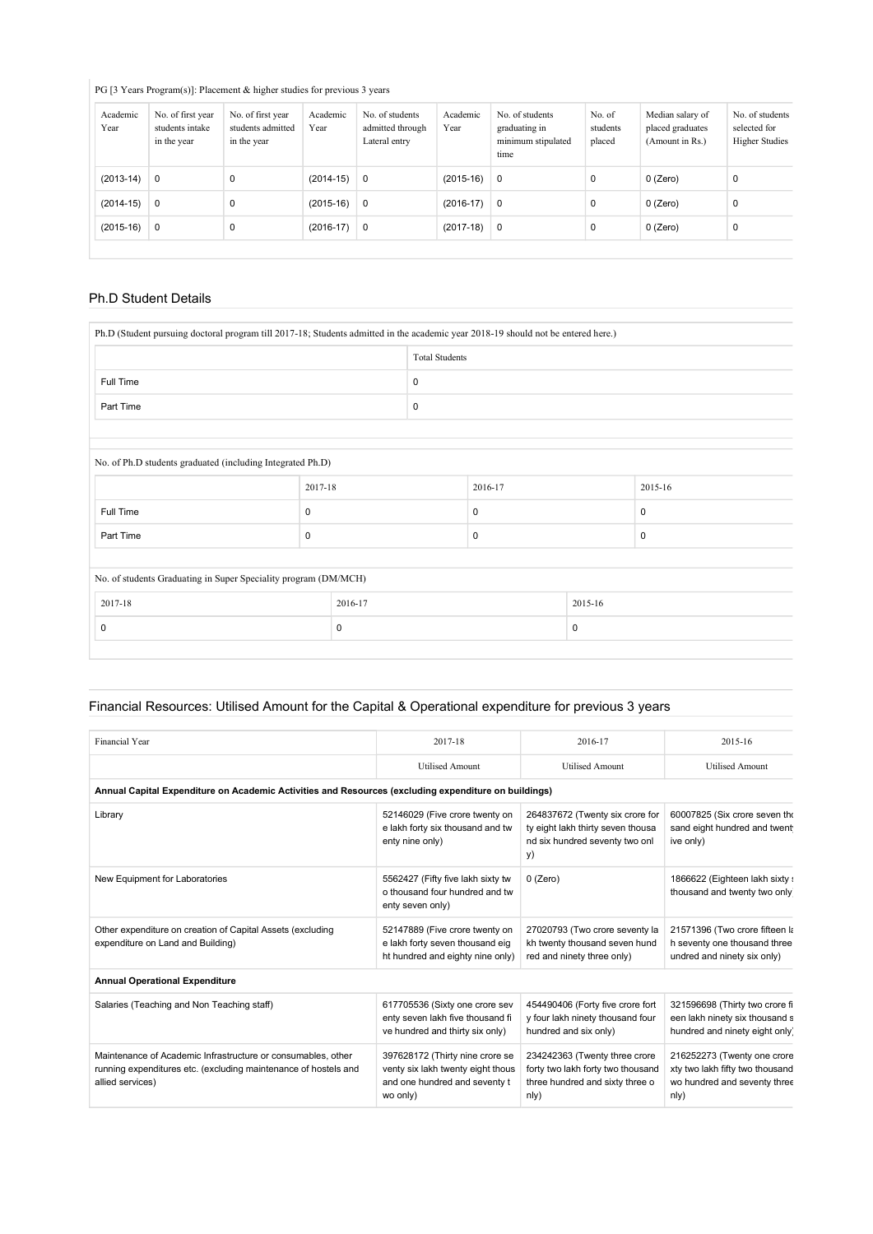## PG [3 Years Program(s)]: Placement & higher studies for previous 3 years

| Academic<br>Year | No. of first year<br>students intake<br>in the year | No. of first year<br>students admitted<br>in the year | Academic<br>Year | No. of students<br>admitted through<br>Lateral entry | Academic<br>Year | No. of students<br>graduating in<br>minimum stipulated<br>time | No. of<br>students<br>placed | Median salary of<br>placed graduates<br>(Amount in Rs.) | No. of students<br>selected for<br><b>Higher Studies</b> |
|------------------|-----------------------------------------------------|-------------------------------------------------------|------------------|------------------------------------------------------|------------------|----------------------------------------------------------------|------------------------------|---------------------------------------------------------|----------------------------------------------------------|
| $(2013-14)$      | $\mathbf 0$                                         | 0                                                     | $(2014-15)$      | $\mathbf 0$                                          | $(2015-16)$      | $\mathbf 0$                                                    | $\mathbf 0$                  | $0$ (Zero)                                              | 0                                                        |
| $(2014-15)$      | $\mathbf 0$                                         | 0                                                     | $(2015-16)$      | $\mathbf 0$                                          | $(2016-17)$      | $\overline{0}$                                                 | $\mathbf 0$                  | $0$ (Zero)                                              | $\mathbf 0$                                              |
| $(2015-16)$      | $\mathbf 0$                                         | 0                                                     | $(2016-17)$      | $\mathbf 0$                                          | $(2017-18)$      | $\mathbf 0$                                                    | $\mathbf 0$                  | $0$ (Zero)                                              | $\mathbf 0$                                              |
|                  |                                                     |                                                       |                  |                                                      |                  |                                                                |                              |                                                         |                                                          |

## Ph.D Student Details

| Ph.D (Student pursuing doctoral program till 2017-18; Students admitted in the academic year 2018-19 should not be entered here.) |             |             |                       |             |  |             |  |  |
|-----------------------------------------------------------------------------------------------------------------------------------|-------------|-------------|-----------------------|-------------|--|-------------|--|--|
|                                                                                                                                   |             |             | <b>Total Students</b> |             |  |             |  |  |
| Full Time                                                                                                                         |             |             | $\mathbf 0$           |             |  |             |  |  |
| Part Time                                                                                                                         |             |             | 0                     |             |  |             |  |  |
|                                                                                                                                   |             |             |                       |             |  |             |  |  |
| No. of Ph.D students graduated (including Integrated Ph.D)                                                                        |             |             |                       |             |  |             |  |  |
|                                                                                                                                   | 2017-18     |             |                       | 2016-17     |  | 2015-16     |  |  |
| Full Time                                                                                                                         | $\mathbf 0$ |             |                       | 0           |  | $\mathbf 0$ |  |  |
| Part Time                                                                                                                         | 0           |             |                       | 0           |  | $\mathbf 0$ |  |  |
|                                                                                                                                   |             |             |                       |             |  |             |  |  |
| No. of students Graduating in Super Speciality program (DM/MCH)                                                                   |             |             |                       |             |  |             |  |  |
| 2017-18<br>2016-17                                                                                                                |             |             |                       | 2015-16     |  |             |  |  |
| 0                                                                                                                                 |             | $\mathbf 0$ |                       | $\mathbf 0$ |  |             |  |  |
|                                                                                                                                   |             |             |                       |             |  |             |  |  |

#### Financial Resources: Utilised Amount for the Capital & Operational expenditure for previous 3 years

| Financial Year                                                                                                                                      | 2017-18                                                                                                           | 2016-17                                                                                                       | 2015-16                                                                                                |  |  |  |  |  |  |
|-----------------------------------------------------------------------------------------------------------------------------------------------------|-------------------------------------------------------------------------------------------------------------------|---------------------------------------------------------------------------------------------------------------|--------------------------------------------------------------------------------------------------------|--|--|--|--|--|--|
|                                                                                                                                                     | <b>Utilised Amount</b>                                                                                            | <b>Utilised Amount</b>                                                                                        | <b>Utilised Amount</b>                                                                                 |  |  |  |  |  |  |
| Annual Capital Expenditure on Academic Activities and Resources (excluding expenditure on buildings)                                                |                                                                                                                   |                                                                                                               |                                                                                                        |  |  |  |  |  |  |
| Library                                                                                                                                             | 52146029 (Five crore twenty on<br>e lakh forty six thousand and tw<br>enty nine only)                             | 264837672 (Twenty six crore for<br>ty eight lakh thirty seven thousa<br>nd six hundred seventy two onl<br>y)  | 60007825 (Six crore seven the<br>sand eight hundred and twent<br>ive only)                             |  |  |  |  |  |  |
| New Equipment for Laboratories                                                                                                                      | 5562427 (Fifty five lakh sixty tw<br>o thousand four hundred and tw<br>enty seven only)                           | $0$ (Zero)                                                                                                    | 1866622 (Eighteen lakh sixty :<br>thousand and twenty two only                                         |  |  |  |  |  |  |
| Other expenditure on creation of Capital Assets (excluding<br>expenditure on Land and Building)                                                     | 52147889 (Five crore twenty on<br>e lakh forty seven thousand eig<br>ht hundred and eighty nine only)             | 27020793 (Two crore seventy la<br>kh twenty thousand seven hund<br>red and ninety three only)                 | 21571396 (Two crore fifteen k<br>h seventy one thousand three<br>undred and ninety six only)           |  |  |  |  |  |  |
| <b>Annual Operational Expenditure</b>                                                                                                               |                                                                                                                   |                                                                                                               |                                                                                                        |  |  |  |  |  |  |
| Salaries (Teaching and Non Teaching staff)                                                                                                          | 617705536 (Sixty one crore sev<br>enty seven lakh five thousand fi<br>ve hundred and thirty six only)             | 454490406 (Forty five crore fort<br>y four lakh ninety thousand four<br>hundred and six only)                 | 321596698 (Thirty two crore fi<br>een lakh ninety six thousand s<br>hundred and ninety eight only      |  |  |  |  |  |  |
| Maintenance of Academic Infrastructure or consumables, other<br>running expenditures etc. (excluding maintenance of hostels and<br>allied services) | 397628172 (Thirty nine crore se<br>venty six lakh twenty eight thous<br>and one hundred and seventy t<br>wo only) | 234242363 (Twenty three crore<br>forty two lakh forty two thousand<br>three hundred and sixty three o<br>n y) | 216252273 (Twenty one crore<br>xty two lakh fifty two thousand<br>wo hundred and seventy three<br>n y) |  |  |  |  |  |  |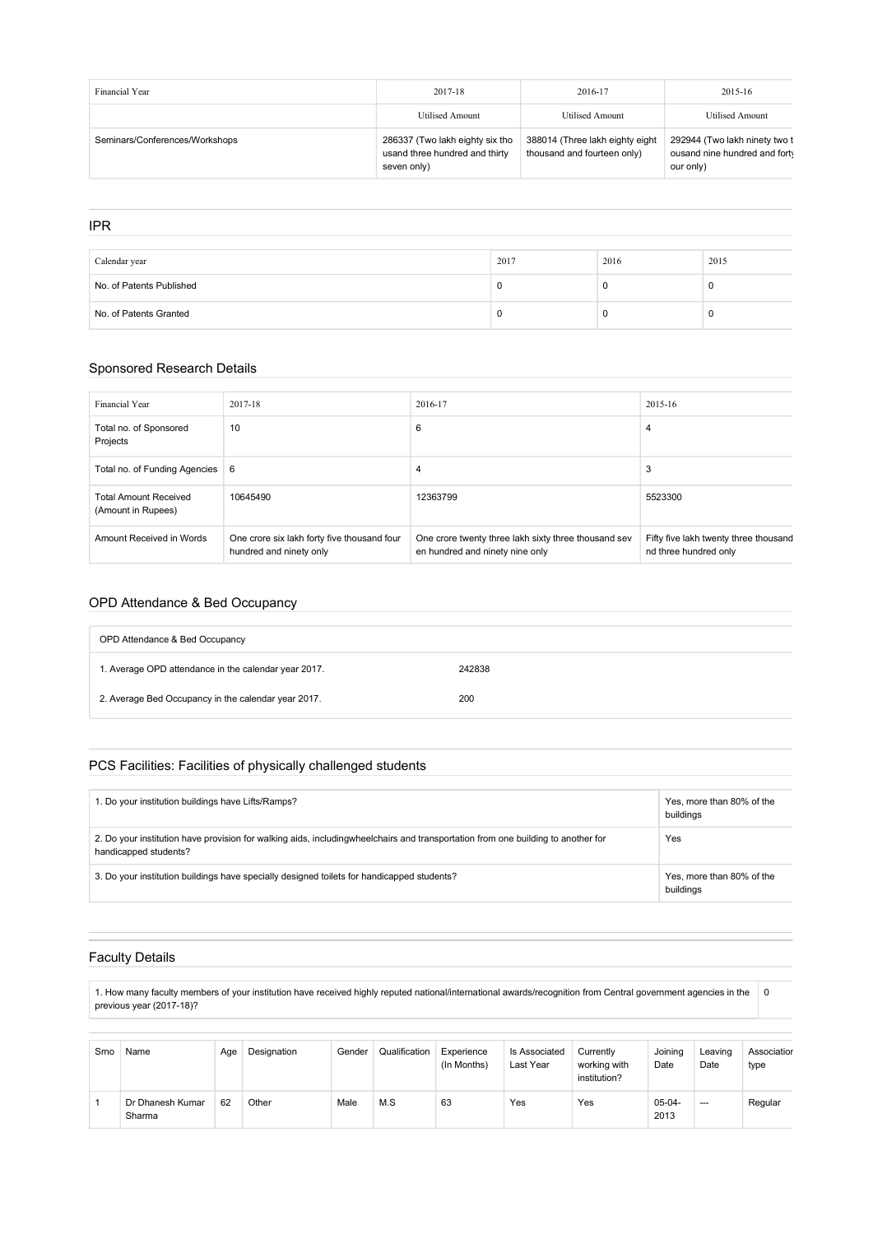| Financial Year                 | 2017-18                                                                          | 2016-17                                                        | 2015-16                                                                     |
|--------------------------------|----------------------------------------------------------------------------------|----------------------------------------------------------------|-----------------------------------------------------------------------------|
|                                | Utilised Amount                                                                  | <b>Utilised Amount</b>                                         | <b>Utilised Amount</b>                                                      |
| Seminars/Conferences/Workshops | 286337 (Two lakh eighty six tho<br>usand three hundred and thirty<br>seven only) | 388014 (Three lakh eighty eight<br>thousand and fourteen only) | 292944 (Two lakh ninety two t<br>ousand nine hundred and forty<br>our only) |

| <b>IPR</b>               |      |      |      |
|--------------------------|------|------|------|
|                          |      |      |      |
| Calendar year            | 2017 | 2016 | 2015 |
| No. of Patents Published | 0    |      | C    |
| No. of Patents Granted   | 0    |      | -0   |

#### Sponsored Research Details

| Financial Year                                     | 2017-18                                                                | 2016-17                                                                                 | 2015-16                                                        |
|----------------------------------------------------|------------------------------------------------------------------------|-----------------------------------------------------------------------------------------|----------------------------------------------------------------|
| Total no. of Sponsored<br>Projects                 | 10                                                                     | 6                                                                                       | 4                                                              |
| Total no. of Funding Agencies                      | -6                                                                     | 4                                                                                       | 3                                                              |
| <b>Total Amount Received</b><br>(Amount in Rupees) | 10645490                                                               | 12363799                                                                                | 5523300                                                        |
| Amount Received in Words                           | One crore six lakh forty five thousand four<br>hundred and ninety only | One crore twenty three lakh sixty three thousand sev<br>en hundred and ninety nine only | Fifty five lakh twenty three thousand<br>nd three hundred only |

## OPD Attendance & Bed Occupancy

| OPD Attendance & Bed Occupancy                       |        |  |  |  |  |  |  |  |  |
|------------------------------------------------------|--------|--|--|--|--|--|--|--|--|
| 1. Average OPD attendance in the calendar year 2017. | 242838 |  |  |  |  |  |  |  |  |
| 2. Average Bed Occupancy in the calendar year 2017.  | 200    |  |  |  |  |  |  |  |  |

## PCS Facilities: Facilities of physically challenged students

| 1. Do your institution buildings have Lifts/Ramps?                                                                                                        | Yes, more than 80% of the<br>buildings |
|-----------------------------------------------------------------------------------------------------------------------------------------------------------|----------------------------------------|
| 2. Do your institution have provision for walking aids, includingwheelchairs and transportation from one building to another for<br>handicapped students? | Yes                                    |
| 3. Do your institution buildings have specially designed toilets for handicapped students?                                                                | Yes, more than 80% of the<br>buildings |

## Faculty Details

1. How many faculty members of your institution have received highly reputed national/international awards/recognition from Central government agencies in the previous year (2017-18)? 0

| Smo | Name                       | Age | Designation | Gender | Qualification | Experience<br>(In Months) | Is Associated<br>Last Year | Currently<br>working with<br>institution? | Joining<br>Date  | Leaving<br>Date | Associatior<br>type |
|-----|----------------------------|-----|-------------|--------|---------------|---------------------------|----------------------------|-------------------------------------------|------------------|-----------------|---------------------|
|     | Dr Dhanesh Kumar<br>Sharma | 62  | Other       | Male   | M.S           | 63                        | Yes                        | Yes                                       | $05-04-$<br>2013 | $--$            | Regular             |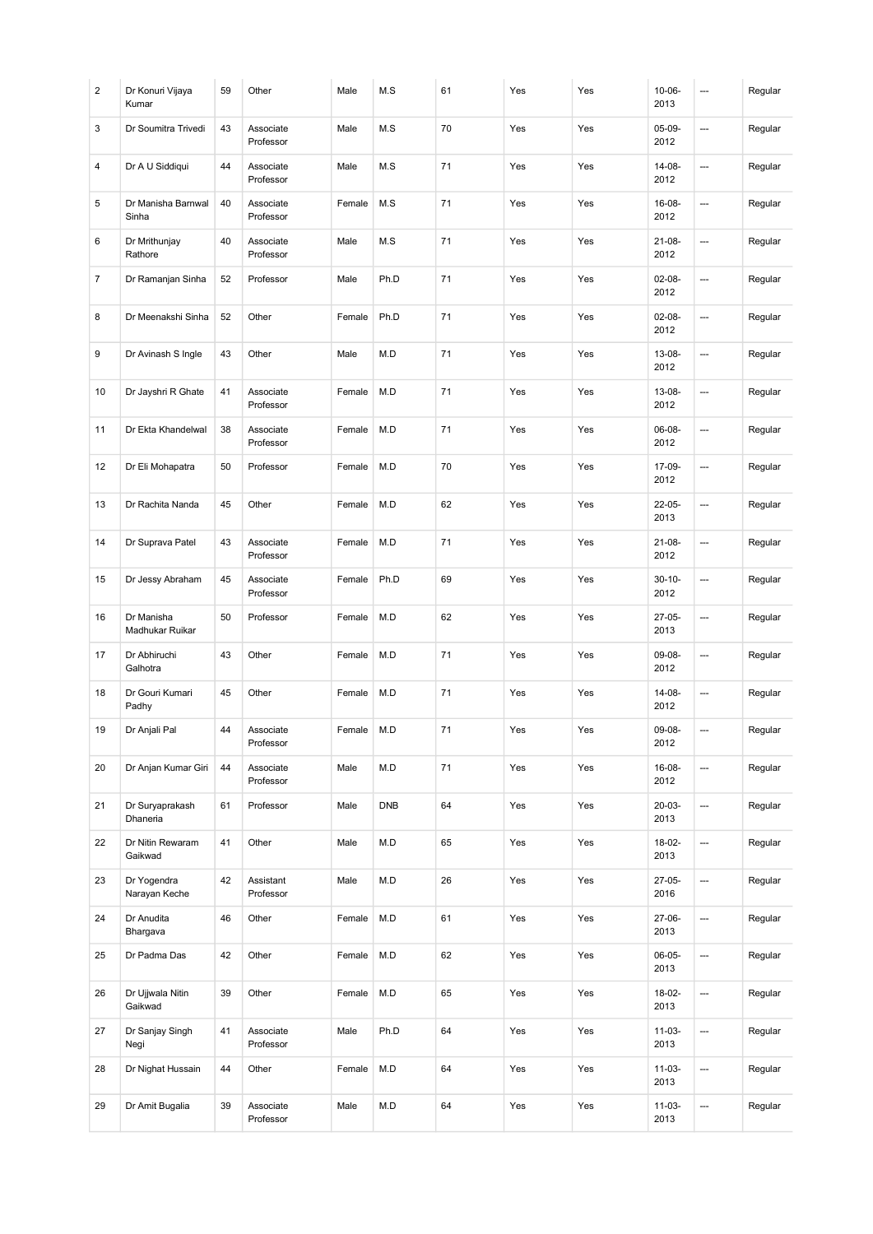| 2  | Dr Konuri Vijaya<br>Kumar     | 59 | Other                  | Male   | M.S        | 61 | Yes | Yes | $10 - 06 -$<br>2013 | ---     | Regular |
|----|-------------------------------|----|------------------------|--------|------------|----|-----|-----|---------------------|---------|---------|
| 3  | Dr Soumitra Trivedi           | 43 | Associate<br>Professor | Male   | M.S        | 70 | Yes | Yes | 05-09-<br>2012      | ---     | Regular |
| 4  | Dr A U Siddiqui               | 44 | Associate<br>Professor | Male   | M.S        | 71 | Yes | Yes | 14-08-<br>2012      | <u></u> | Regular |
| 5  | Dr Manisha Barnwal<br>Sinha   | 40 | Associate<br>Professor | Female | M.S        | 71 | Yes | Yes | 16-08-<br>2012      | ---     | Regular |
| 6  | Dr Mrithunjay<br>Rathore      | 40 | Associate<br>Professor | Male   | M.S        | 71 | Yes | Yes | $21 - 08 -$<br>2012 | <u></u> | Regular |
| 7  | Dr Ramanjan Sinha             | 52 | Professor              | Male   | Ph.D       | 71 | Yes | Yes | $02 - 08 -$<br>2012 | ---     | Regular |
| 8  | Dr Meenakshi Sinha            | 52 | Other                  | Female | Ph.D       | 71 | Yes | Yes | $02 - 08 -$<br>2012 | <u></u> | Regular |
| 9  | Dr Avinash S Ingle            | 43 | Other                  | Male   | M.D        | 71 | Yes | Yes | 13-08-<br>2012      | ---     | Regular |
| 10 | Dr Jayshri R Ghate            | 41 | Associate<br>Professor | Female | M.D        | 71 | Yes | Yes | 13-08-<br>2012      | ---     | Regular |
| 11 | Dr Ekta Khandelwal            | 38 | Associate<br>Professor | Female | M.D        | 71 | Yes | Yes | 06-08-<br>2012      | <u></u> | Regular |
| 12 | Dr Eli Mohapatra              | 50 | Professor              | Female | M.D        | 70 | Yes | Yes | 17-09-<br>2012      | ---     | Regular |
| 13 | Dr Rachita Nanda              | 45 | Other                  | Female | M.D        | 62 | Yes | Yes | 22-05-<br>2013      | ---     | Regular |
| 14 | Dr Suprava Patel              | 43 | Associate<br>Professor | Female | M.D        | 71 | Yes | Yes | $21 - 08 -$<br>2012 | ---     | Regular |
| 15 | Dr Jessy Abraham              | 45 | Associate<br>Professor | Female | Ph.D       | 69 | Yes | Yes | $30 - 10 -$<br>2012 | <u></u> | Regular |
| 16 | Dr Manisha<br>Madhukar Ruikar | 50 | Professor              | Female | M.D        | 62 | Yes | Yes | 27-05-<br>2013      | ---     | Regular |
| 17 | Dr Abhiruchi<br>Galhotra      | 43 | Other                  | Female | M.D        | 71 | Yes | Yes | 09-08-<br>2012      | ---     | Regular |
| 18 | Dr Gouri Kumari<br>Padhy      | 45 | Other                  | Female | M.D        | 71 | Yes | Yes | 14-08-<br>2012      | ---     | Regular |
| 19 | Dr Anjali Pal                 | 44 | Associate<br>Professor | Female | M.D        | 71 | Yes | Yes | 09-08-<br>2012      | ---     | Regular |
| 20 | Dr Anjan Kumar Giri           | 44 | Associate<br>Professor | Male   | M.D        | 71 | Yes | Yes | 16-08-<br>2012      | ---     | Regular |
| 21 | Dr Suryaprakash<br>Dhaneria   | 61 | Professor              | Male   | <b>DNB</b> | 64 | Yes | Yes | 20-03-<br>2013      | ---     | Regular |
| 22 | Dr Nitin Rewaram<br>Gaikwad   | 41 | Other                  | Male   | M.D        | 65 | Yes | Yes | 18-02-<br>2013      | ---     | Regular |
| 23 | Dr Yogendra<br>Narayan Keche  | 42 | Assistant<br>Professor | Male   | M.D        | 26 | Yes | Yes | 27-05-<br>2016      | ---     | Regular |
| 24 | Dr Anudita<br>Bhargava        | 46 | Other                  | Female | M.D        | 61 | Yes | Yes | 27-06-<br>2013      | ---     | Regular |
| 25 | Dr Padma Das                  | 42 | Other                  | Female | M.D        | 62 | Yes | Yes | 06-05-<br>2013      | ---     | Regular |
| 26 | Dr Ujjwala Nitin<br>Gaikwad   | 39 | Other                  | Female | M.D        | 65 | Yes | Yes | 18-02-<br>2013      | ÷,      | Regular |
| 27 | Dr Sanjay Singh<br>Negi       | 41 | Associate<br>Professor | Male   | Ph.D       | 64 | Yes | Yes | $11-03-$<br>2013    | ---     | Regular |
| 28 | Dr Nighat Hussain             | 44 | Other                  | Female | M.D        | 64 | Yes | Yes | $11 - 03 -$<br>2013 | ---     | Regular |
| 29 | Dr Amit Bugalia               | 39 | Associate<br>Professor | Male   | M.D        | 64 | Yes | Yes | $11-03-$<br>2013    | ---     | Regular |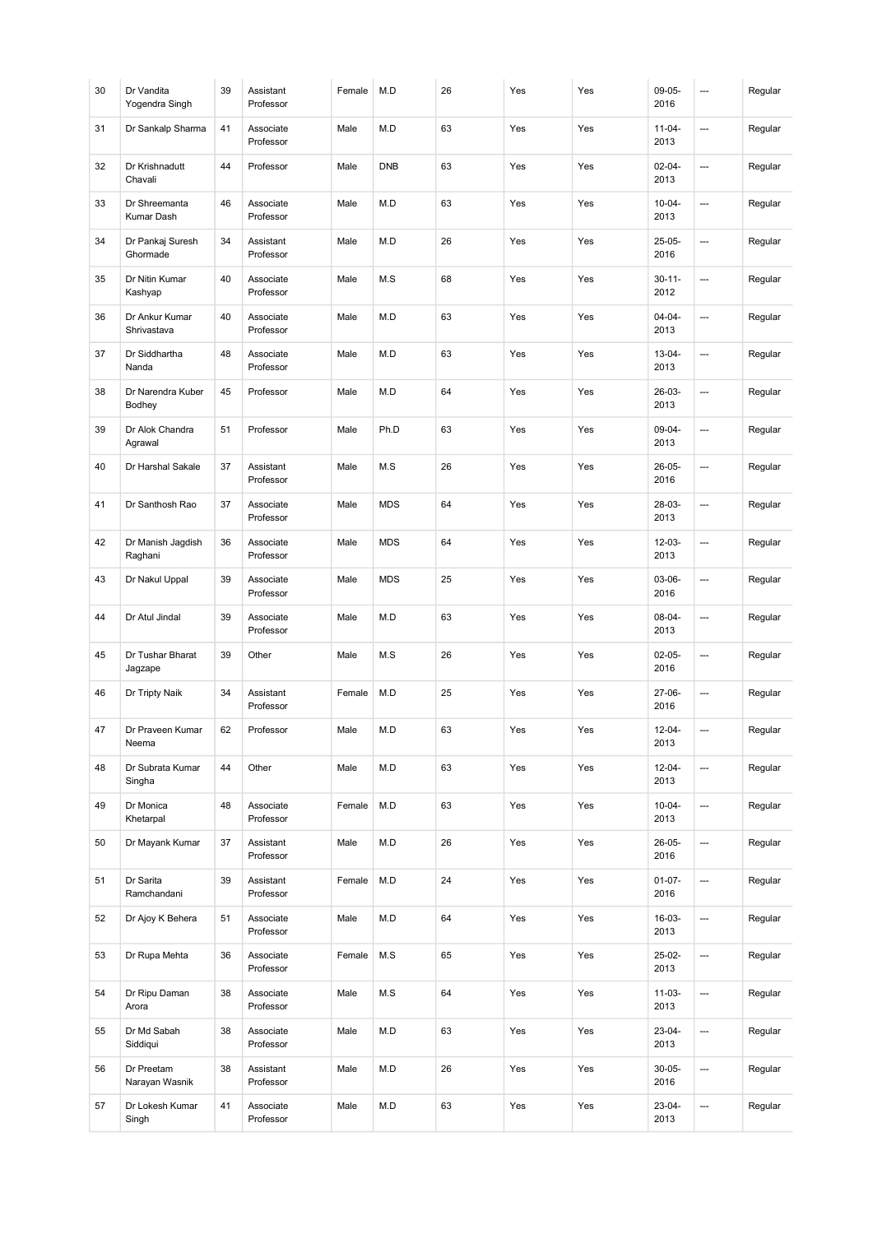| 30 | Dr Vandita<br>Yogendra Singh  | 39 | Assistant<br>Professor | Female | M.D        | 26 | Yes | Yes | 09-05-<br>2016      | --- | Regular |
|----|-------------------------------|----|------------------------|--------|------------|----|-----|-----|---------------------|-----|---------|
| 31 | Dr Sankalp Sharma             | 41 | Associate<br>Professor | Male   | M.D        | 63 | Yes | Yes | $11 - 04 -$<br>2013 | --- | Regular |
| 32 | Dr Krishnadutt<br>Chavali     | 44 | Professor              | Male   | <b>DNB</b> | 63 | Yes | Yes | $02 - 04 -$<br>2013 | …   | Regular |
| 33 | Dr Shreemanta<br>Kumar Dash   | 46 | Associate<br>Professor | Male   | M.D        | 63 | Yes | Yes | $10 - 04 -$<br>2013 | --- | Regular |
| 34 | Dr Pankaj Suresh<br>Ghormade  | 34 | Assistant<br>Professor | Male   | M.D        | 26 | Yes | Yes | $25-05-$<br>2016    | …   | Regular |
| 35 | Dr Nitin Kumar<br>Kashyap     | 40 | Associate<br>Professor | Male   | M.S        | 68 | Yes | Yes | $30 - 11 -$<br>2012 | --- | Regular |
| 36 | Dr Ankur Kumar<br>Shrivastava | 40 | Associate<br>Professor | Male   | M.D        | 63 | Yes | Yes | $04 - 04 -$<br>2013 | --- | Regular |
| 37 | Dr Siddhartha<br>Nanda        | 48 | Associate<br>Professor | Male   | M.D        | 63 | Yes | Yes | $13 - 04 -$<br>2013 | --- | Regular |
| 38 | Dr Narendra Kuber<br>Bodhey   | 45 | Professor              | Male   | M.D        | 64 | Yes | Yes | 26-03-<br>2013      | --- | Regular |
| 39 | Dr Alok Chandra<br>Agrawal    | 51 | Professor              | Male   | Ph.D       | 63 | Yes | Yes | 09-04-<br>2013      | …   | Regular |
| 40 | Dr Harshal Sakale             | 37 | Assistant<br>Professor | Male   | M.S        | 26 | Yes | Yes | 26-05-<br>2016      | --- | Regular |
| 41 | Dr Santhosh Rao               | 37 | Associate<br>Professor | Male   | <b>MDS</b> | 64 | Yes | Yes | 28-03-<br>2013      | …   | Regular |
| 42 | Dr Manish Jagdish<br>Raghani  | 36 | Associate<br>Professor | Male   | <b>MDS</b> | 64 | Yes | Yes | $12 - 03 -$<br>2013 | --- | Regular |
| 43 | Dr Nakul Uppal                | 39 | Associate<br>Professor | Male   | <b>MDS</b> | 25 | Yes | Yes | 03-06-<br>2016      | …   | Regular |
| 44 | Dr Atul Jindal                | 39 | Associate<br>Professor | Male   | M.D        | 63 | Yes | Yes | $08 - 04 -$<br>2013 | --- | Regular |
| 45 | Dr Tushar Bharat<br>Jagzape   | 39 | Other                  | Male   | M.S        | 26 | Yes | Yes | $02-05-$<br>2016    | --- | Regular |
| 46 | Dr Tripty Naik                | 34 | Assistant<br>Professor | Female | M.D        | 25 | Yes | Yes | 27-06-<br>2016      | --- | Regular |
| 47 | Dr Praveen Kumar<br>Neema     | 62 | Professor              | Male   | M.D        | 63 | Yes | Yes | $12 - 04 -$<br>2013 |     | Regular |
| 48 | Dr Subrata Kumar<br>Singha    | 44 | Other                  | Male   | M.D        | 63 | Yes | Yes | $12 - 04 -$<br>2013 | --- | Regular |
| 49 | Dr Monica<br>Khetarpal        | 48 | Associate<br>Professor | Female | M.D        | 63 | Yes | Yes | $10 - 04 -$<br>2013 | --- | Regular |
| 50 | Dr Mayank Kumar               | 37 | Assistant<br>Professor | Male   | M.D        | 26 | Yes | Yes | 26-05-<br>2016      | --- | Regular |
| 51 | Dr Sarita<br>Ramchandani      | 39 | Assistant<br>Professor | Female | M.D        | 24 | Yes | Yes | $01 - 07 -$<br>2016 | --- | Regular |
| 52 | Dr Ajoy K Behera              | 51 | Associate<br>Professor | Male   | M.D        | 64 | Yes | Yes | 16-03-<br>2013      | --- | Regular |
| 53 | Dr Rupa Mehta                 | 36 | Associate<br>Professor | Female | M.S        | 65 | Yes | Yes | 25-02-<br>2013      | --- | Regular |
| 54 | Dr Ripu Daman<br>Arora        | 38 | Associate<br>Professor | Male   | M.S        | 64 | Yes | Yes | $11 - 03 -$<br>2013 | --- | Regular |
| 55 | Dr Md Sabah<br>Siddiqui       | 38 | Associate<br>Professor | Male   | M.D        | 63 | Yes | Yes | 23-04-<br>2013      | --- | Regular |
| 56 | Dr Preetam<br>Narayan Wasnik  | 38 | Assistant<br>Professor | Male   | M.D        | 26 | Yes | Yes | $30 - 05 -$<br>2016 | --- | Regular |
| 57 | Dr Lokesh Kumar<br>Singh      | 41 | Associate<br>Professor | Male   | M.D        | 63 | Yes | Yes | 23-04-<br>2013      | --- | Regular |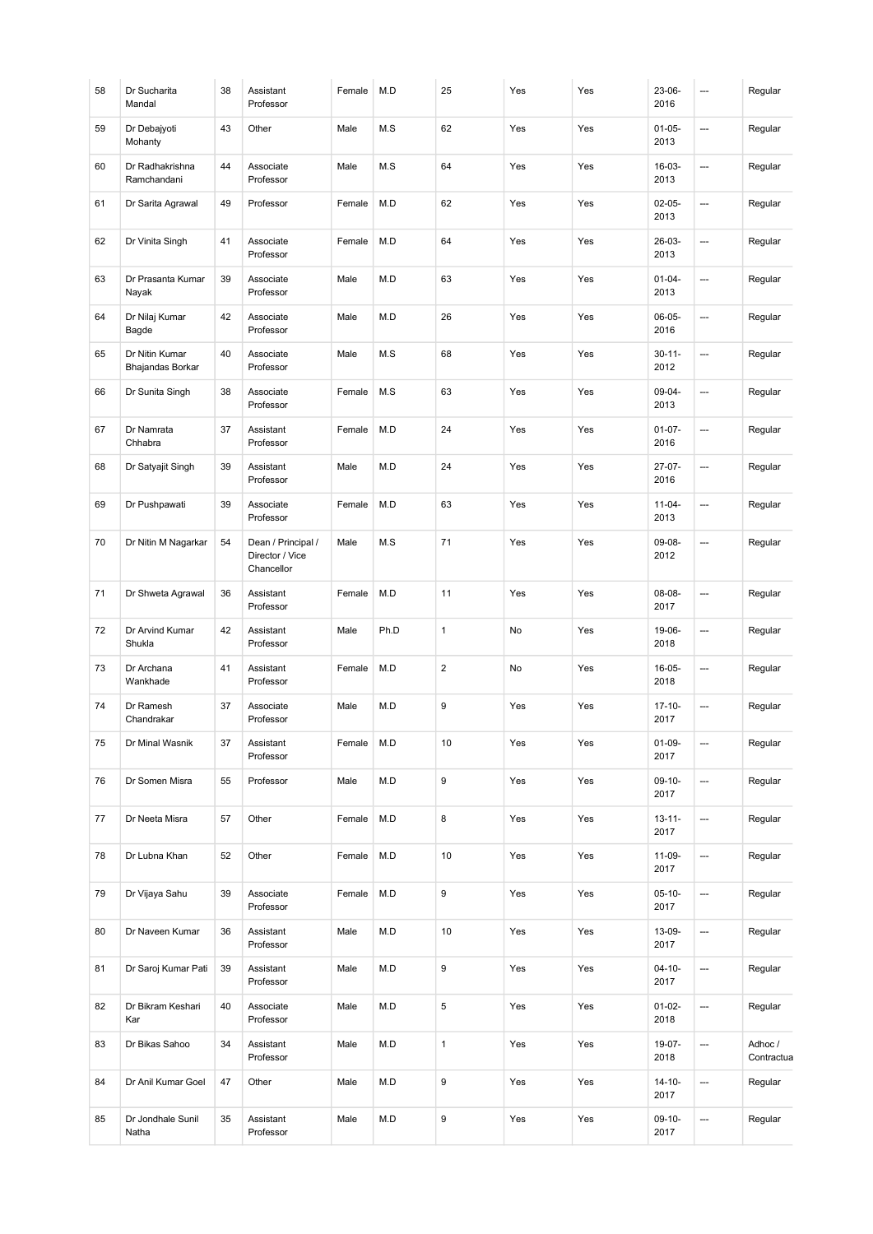| 58 | Dr Sucharita<br>Mandal             | 38 | Assistant<br>Professor                              | Female | M.D  | 25               | Yes | Yes | 23-06-<br>2016      | ---            | Regular               |
|----|------------------------------------|----|-----------------------------------------------------|--------|------|------------------|-----|-----|---------------------|----------------|-----------------------|
| 59 | Dr Debajyoti<br>Mohanty            | 43 | Other                                               | Male   | M.S  | 62               | Yes | Yes | $01 - 05 -$<br>2013 | ---            | Regular               |
| 60 | Dr Radhakrishna<br>Ramchandani     | 44 | Associate<br>Professor                              | Male   | M.S  | 64               | Yes | Yes | 16-03-<br>2013      | ---            | Regular               |
| 61 | Dr Sarita Agrawal                  | 49 | Professor                                           | Female | M.D  | 62               | Yes | Yes | $02-05-$<br>2013    | ---            | Regular               |
| 62 | Dr Vinita Singh                    | 41 | Associate<br>Professor                              | Female | M.D  | 64               | Yes | Yes | 26-03-<br>2013      | ---            | Regular               |
| 63 | Dr Prasanta Kumar<br>Nayak         | 39 | Associate<br>Professor                              | Male   | M.D  | 63               | Yes | Yes | $01 - 04 -$<br>2013 | ---            | Regular               |
| 64 | Dr Nilaj Kumar<br>Bagde            | 42 | Associate<br>Professor                              | Male   | M.D  | 26               | Yes | Yes | $06-05-$<br>2016    | ---            | Regular               |
| 65 | Dr Nitin Kumar<br>Bhajandas Borkar | 40 | Associate<br>Professor                              | Male   | M.S  | 68               | Yes | Yes | $30 - 11 -$<br>2012 | ---            | Regular               |
| 66 | Dr Sunita Singh                    | 38 | Associate<br>Professor                              | Female | M.S  | 63               | Yes | Yes | $09 - 04 -$<br>2013 | ---            | Regular               |
| 67 | Dr Namrata<br>Chhabra              | 37 | Assistant<br>Professor                              | Female | M.D  | 24               | Yes | Yes | $01-07-$<br>2016    | $\overline{a}$ | Regular               |
| 68 | Dr Satyajit Singh                  | 39 | Assistant<br>Professor                              | Male   | M.D  | 24               | Yes | Yes | $27-07-$<br>2016    | $\overline{a}$ | Regular               |
| 69 | Dr Pushpawati                      | 39 | Associate<br>Professor                              | Female | M.D  | 63               | Yes | Yes | $11 - 04 -$<br>2013 | ---            | Regular               |
| 70 | Dr Nitin M Nagarkar                | 54 | Dean / Principal /<br>Director / Vice<br>Chancellor | Male   | M.S  | 71               | Yes | Yes | 09-08-<br>2012      | ---            | Regular               |
| 71 | Dr Shweta Agrawal                  | 36 | Assistant<br>Professor                              | Female | M.D  | 11               | Yes | Yes | $08 - 08 -$<br>2017 | ---            | Regular               |
| 72 | Dr Arvind Kumar<br>Shukla          | 42 | Assistant<br>Professor                              | Male   | Ph.D | $\mathbf{1}$     | No  | Yes | 19-06-<br>2018      | ---            | Regular               |
| 73 | Dr Archana<br>Wankhade             | 41 | Assistant<br>Professor                              | Female | M.D  | $\overline{2}$   | No  | Yes | 16-05-<br>2018      | ---            | Regular               |
| 74 | Dr Ramesh<br>Chandrakar            | 37 | Associate<br>Professor                              | Male   | M.D  | 9                | Yes | Yes | $17 - 10 -$<br>2017 | ---            | Regular               |
| 75 | Dr Minal Wasnik                    | 37 | Assistant<br>Professor                              | Female | M.D  | 10               | Yes | Yes | $01-09-$<br>2017    | ---            | Regular               |
| 76 | Dr Somen Misra                     | 55 | Professor                                           | Male   | M.D  | 9                | Yes | Yes | $09-10-$<br>2017    | …              | Regular               |
| 77 | Dr Neeta Misra                     | 57 | Other                                               | Female | M.D  | 8                | Yes | Yes | $13 - 11 -$<br>2017 | ---            | Regular               |
| 78 | Dr Lubna Khan                      | 52 | Other                                               | Female | M.D  | 10               | Yes | Yes | $11-09-$<br>2017    | ---            | Regular               |
| 79 | Dr Vijaya Sahu                     | 39 | Associate<br>Professor                              | Female | M.D  | 9                | Yes | Yes | $05-10-$<br>2017    | ---            | Regular               |
| 80 | Dr Naveen Kumar                    | 36 | Assistant<br>Professor                              | Male   | M.D  | 10               | Yes | Yes | 13-09-<br>2017      | ---            | Regular               |
| 81 | Dr Saroj Kumar Pati                | 39 | Assistant<br>Professor                              | Male   | M.D  | 9                | Yes | Yes | $04 - 10 -$<br>2017 | ---            | Regular               |
| 82 | Dr Bikram Keshari<br>Kar           | 40 | Associate<br>Professor                              | Male   | M.D  | 5                | Yes | Yes | $01 - 02 -$<br>2018 | ---            | Regular               |
| 83 | Dr Bikas Sahoo                     | 34 | Assistant<br>Professor                              | Male   | M.D  | $\mathbf{1}$     | Yes | Yes | 19-07-<br>2018      | ---            | Adhoc /<br>Contractua |
| 84 | Dr Anil Kumar Goel                 | 47 | Other                                               | Male   | M.D  | 9                | Yes | Yes | $14 - 10 -$<br>2017 | …              | Regular               |
| 85 | Dr Jondhale Sunil<br>Natha         | 35 | Assistant<br>Professor                              | Male   | M.D  | $\boldsymbol{9}$ | Yes | Yes | $09-10-$<br>2017    | ---            | Regular               |